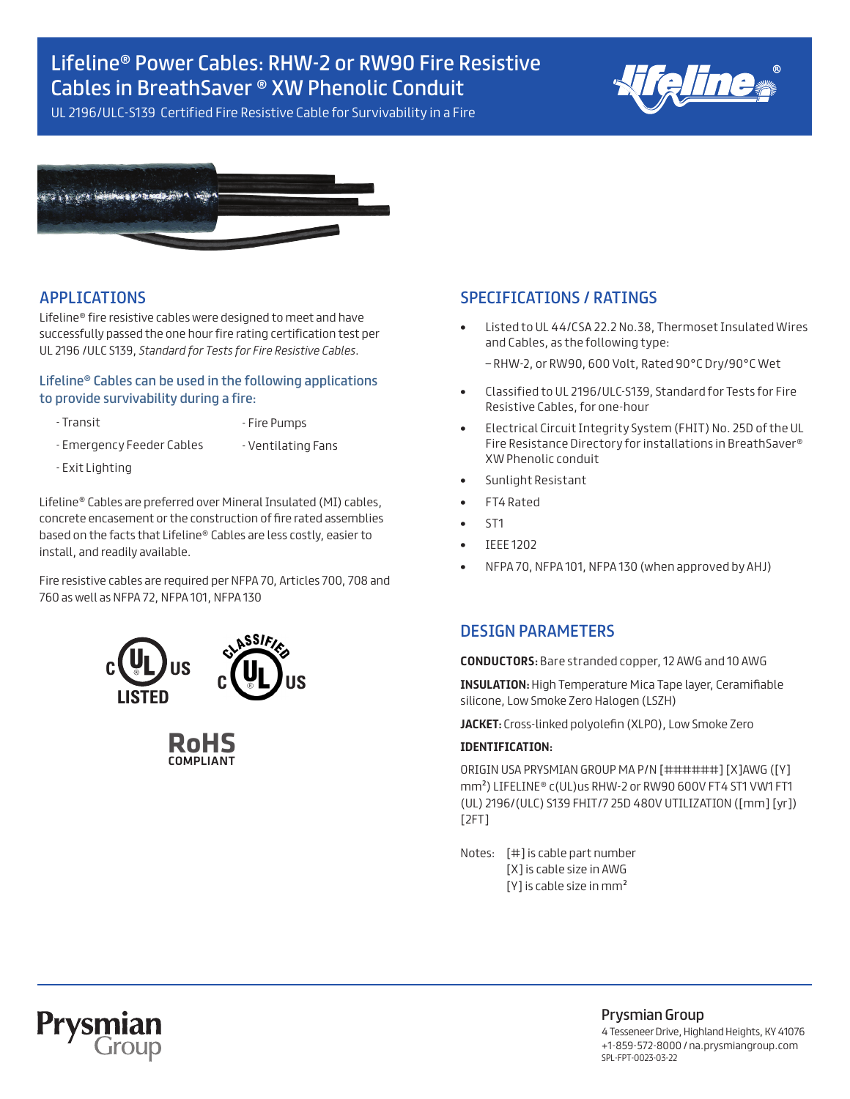## Lifeline® Power Cables: RHW-2 or RW90 Fire Resistive Cables in BreathSaver ® XW Phenolic Conduit



UL 2196/ULC-S139 Certified Fire Resistive Cable for Survivability in a Fire



### APPLICATIONS

Lifeline® fire resistive cables were designed to meet and have successfully passed the one hour fire rating certification test per UL 2196 /ULC S139, *Standard for Tests for Fire Resistive Cables*.

#### Lifeline® Cables can be used in the following applications to provide survivability during a fire:

- 
- Transit  **Fire Pumps**
- Emergency Feeder Cables Ventilating Fans
- 
- Exit Lighting

Lifeline® Cables are preferred over Mineral Insulated (MI) cables, concrete encasement or the construction of fire rated assemblies based on the facts that Lifeline® Cables are less costly, easier to install, and readily available.

Fire resistive cables are required per NFPA 70, Articles 700, 708 and 760 as well as NFPA 72, NFPA 101, NFPA 130



**RoHS** COMPLIANT

### SPECIFICATIONS / RATINGS

**•** Listed to UL 44/CSA 22.2 No.38, Thermoset Insulated Wires and Cables, as the following type:

– RHW-2, or RW90, 600 Volt, Rated 90°C Dry/90°C Wet

- **•** Classified to UL 2196/ULC-S139, Standard for Tests for Fire Resistive Cables, for one-hour
- **•** Electrical Circuit Integrity System (FHIT) No. 25D of the UL Fire Resistance Directory for installations in BreathSaver® XW Phenolic conduit
- **•** Sunlight Resistant
- **•** FT4 Rated
- **•** ST1
	- **•** IEEE 1202
	- **•** NFPA 70, NFPA 101, NFPA 130 (when approved by AHJ)

#### DESIGN PARAMETERS

**CONDUCTORS:** Bare stranded copper, 12 AWG and 10 AWG

**INSULATION:** High Temperature Mica Tape layer, Ceramifiable silicone, Low Smoke Zero Halogen (LSZH)

**JACKET:** Cross-linked polyolefin (XLPO), Low Smoke Zero

#### **IDENTIFICATION:**

ORIGIN USA PRYSMIAN GROUP MA P/N [######] [X]AWG ([Y] mm²) LIFELINE® c(UL)us RHW-2 or RW90 600V FT4 ST1 VW1 FT1 (UL) 2196/(ULC) S139 FHIT/7 25D 480V UTILIZATION ([mm] [yr]) [2FT]

Notes: [#] is cable part number [X] is cable size in AWG [Y] is cable size in mm<sup>2</sup>



Prysmian Group

4 Tesseneer Drive, Highland Heights, KY 41076 +1-859-572-8000 / na.prysmiangroup.com SPL-FPT-0023-03-22